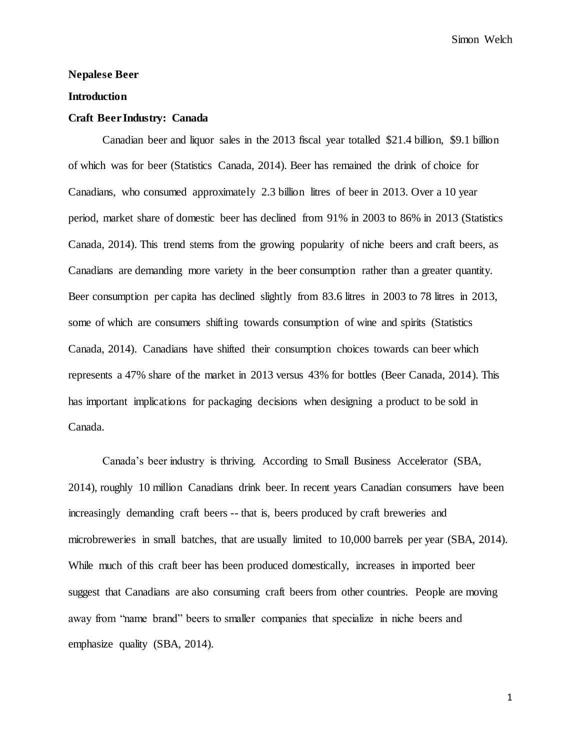# **Nepalese Beer**

## **Introduction**

#### **Craft Beer Industry: Canada**

Canadian beer and liquor sales in the 2013 fiscal year totalled \$21.4 billion, \$9.1 billion of which was for beer (Statistics Canada, 2014). Beer has remained the drink of choice for Canadians, who consumed approximately 2.3 billion litres of beer in 2013. Over a 10 year period, market share of domestic beer has declined from 91% in 2003 to 86% in 2013 (Statistics Canada, 2014). This trend stems from the growing popularity of niche beers and craft beers, as Canadians are demanding more variety in the beer consumption rather than a greater quantity. Beer consumption per capita has declined slightly from 83.6 litres in 2003 to 78 litres in 2013, some of which are consumers shifting towards consumption of wine and spirits (Statistics Canada, 2014). Canadians have shifted their consumption choices towards can beer which represents a 47% share of the market in 2013 versus 43% for bottles (Beer Canada, 2014). This has important implications for packaging decisions when designing a product to be sold in Canada.

Canada's beer industry is thriving. According to Small Business Accelerator (SBA, 2014), roughly 10 million Canadians drink beer. In recent years Canadian consumers have been increasingly demanding craft beers -- that is, beers produced by craft breweries and microbreweries in small batches, that are usually limited to 10,000 barrels per year (SBA, 2014). While much of this craft beer has been produced domestically, increases in imported beer suggest that Canadians are also consuming craft beers from other countries. People are moving away from "name brand" beers to smaller companies that specialize in niche beers and emphasize quality (SBA, 2014).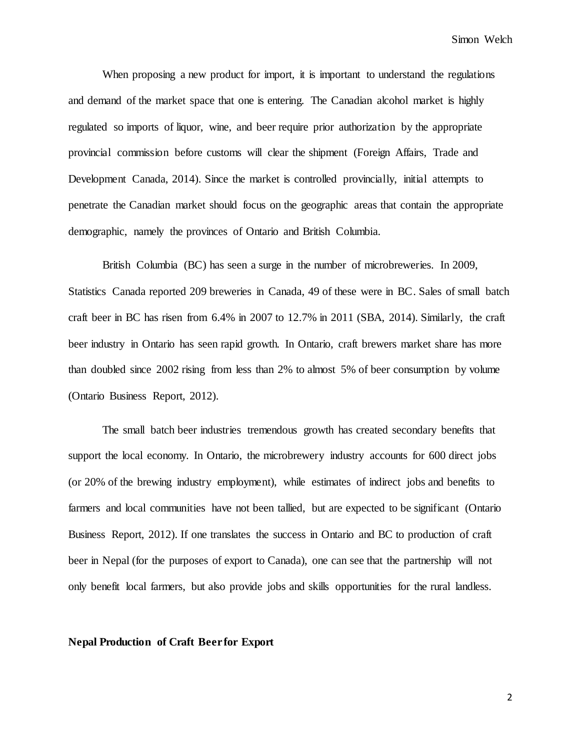When proposing a new product for import, it is important to understand the regulations and demand of the market space that one is entering. The Canadian alcohol market is highly regulated so imports of liquor, wine, and beer require prior authorization by the appropriate provincial commission before customs will clear the shipment (Foreign Affairs, Trade and Development Canada, 2014). Since the market is controlled provincially, initial attempts to penetrate the Canadian market should focus on the geographic areas that contain the appropriate demographic, namely the provinces of Ontario and British Columbia.

British Columbia (BC) has seen a surge in the number of microbreweries. In 2009, Statistics Canada reported 209 breweries in Canada, 49 of these were in BC. Sales of small batch craft beer in BC has risen from 6.4% in 2007 to 12.7% in 2011 (SBA, 2014). Similarly, the craft beer industry in Ontario has seen rapid growth. In Ontario, craft brewers market share has more than doubled since 2002 rising from less than 2% to almost 5% of beer consumption by volume (Ontario Business Report, 2012).

The small batch beer industries tremendous growth has created secondary benefits that support the local economy. In Ontario, the microbrewery industry accounts for 600 direct jobs (or 20% of the brewing industry employment), while estimates of indirect jobs and benefits to farmers and local communities have not been tallied, but are expected to be significant (Ontario Business Report, 2012). If one translates the success in Ontario and BC to production of craft beer in Nepal (for the purposes of export to Canada), one can see that the partnership will not only benefit local farmers, but also provide jobs and skills opportunities for the rural landless.

**Nepal Production of Craft Beer for Export**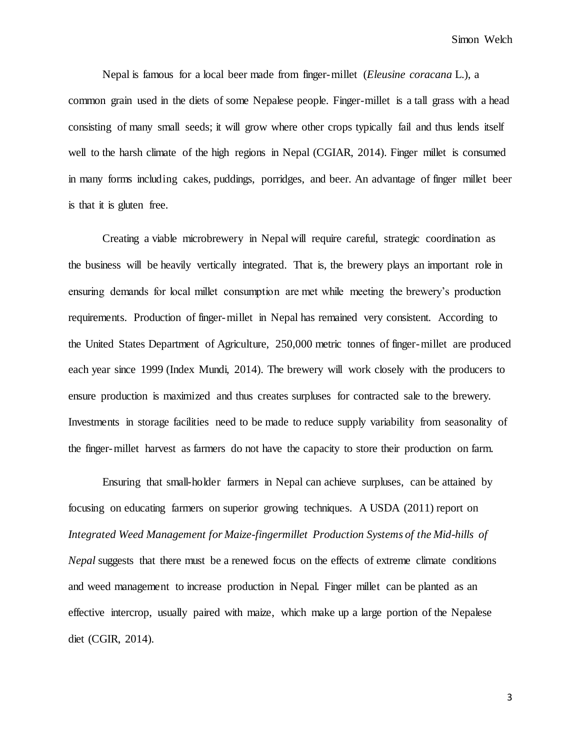Nepal is famous for a local beer made from finger-millet (*Eleusine coracana* L.), a common grain used in the diets of some Nepalese people. Finger-millet is a tall grass with a head consisting of many small seeds; it will grow where other crops typically fail and thus lends itself well to the harsh climate of the high regions in Nepal (CGIAR, 2014). Finger millet is consumed in many forms including cakes, puddings, porridges, and beer. An advantage of finger millet beer is that it is gluten free.

Creating a viable microbrewery in Nepal will require careful, strategic coordination as the business will be heavily vertically integrated. That is, the brewery plays an important role in ensuring demands for local millet consumption are met while meeting the brewery's production requirements. Production of finger-millet in Nepal has remained very consistent. According to the United States Department of Agriculture, 250,000 metric tonnes of finger-millet are produced each year since 1999 (Index Mundi, 2014). The brewery will work closely with the producers to ensure production is maximized and thus creates surpluses for contracted sale to the brewery. Investments in storage facilities need to be made to reduce supply variability from seasonality of the finger-millet harvest as farmers do not have the capacity to store their production on farm.

Ensuring that small-holder farmers in Nepal can achieve surpluses, can be attained by focusing on educating farmers on superior growing techniques. A USDA (2011) report on *Integrated Weed Management for Maize-fingermillet Production Systems of the Mid-hills of Nepal* suggests that there must be a renewed focus on the effects of extreme climate conditions and weed management to increase production in Nepal. Finger millet can be planted as an effective intercrop, usually paired with maize, which make up a large portion of the Nepalese diet (CGIR, 2014).

3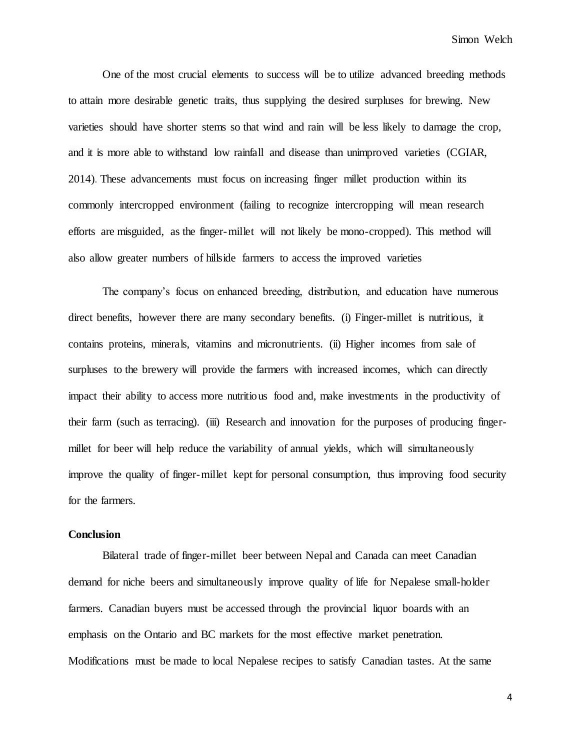One of the most crucial elements to success will be to utilize advanced breeding methods to attain more desirable genetic traits, thus supplying the desired surpluses for brewing. New varieties should have shorter stems so that wind and rain will be less likely to damage the crop, and it is more able to withstand low rainfall and disease than unimproved varieties (CGIAR, 2014). These advancements must focus on increasing finger millet production within its commonly intercropped environment (failing to recognize intercropping will mean research efforts are misguided, as the finger-millet will not likely be mono-cropped). This method will also allow greater numbers of hillside farmers to access the improved varieties

The company's focus on enhanced breeding, distribution, and education have numerous direct benefits, however there are many secondary benefits. (i) Finger-millet is nutritious, it contains proteins, minerals, vitamins and micronutrients. (ii) Higher incomes from sale of surpluses to the brewery will provide the farmers with increased incomes, which can directly impact their ability to access more nutritious food and, make investments in the productivity of their farm (such as terracing). (iii) Research and innovation for the purposes of producing fingermillet for beer will help reduce the variability of annual yields, which will simultaneously improve the quality of finger-millet kept for personal consumption, thus improving food security for the farmers.

# **Conclusion**

Bilateral trade of finger-millet beer between Nepal and Canada can meet Canadian demand for niche beers and simultaneously improve quality of life for Nepalese small-holder farmers. Canadian buyers must be accessed through the provincial liquor boards with an emphasis on the Ontario and BC markets for the most effective market penetration. Modifications must be made to local Nepalese recipes to satisfy Canadian tastes. At the same

4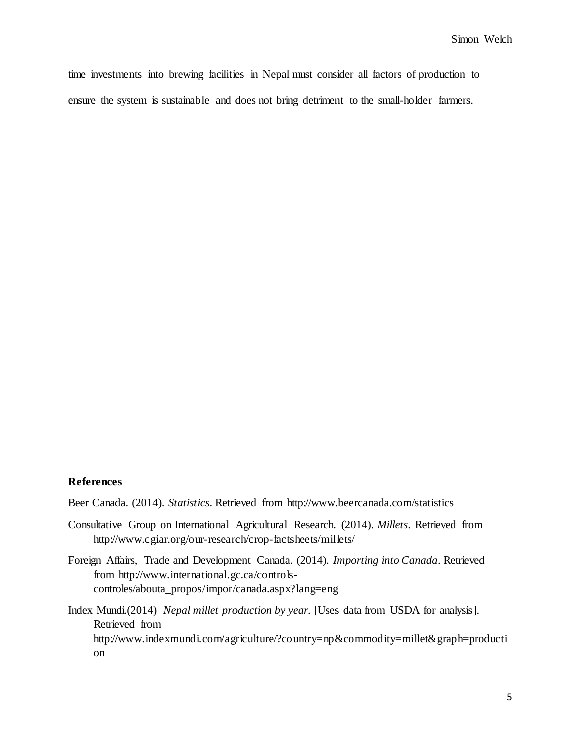time investments into brewing facilities in Nepal must consider all factors of production to ensure the system is sustainable and does not bring detriment to the small-holder farmers.

# **References**

Beer Canada. (2014). *Statistics*. Retrieved from http://www.beercanada.com/statistics

- Consultative Group on International Agricultural Research. (2014). *Millets*. Retrieved from http://www.cgiar.org/our-research/crop-factsheets/millets/
- Foreign Affairs, Trade and Development Canada. (2014). *Importing into Canada*. Retrieved from http://www.international.gc.ca/controlscontroles/abouta\_propos/impor/canada.aspx?lang=eng
- Index Mundi.(2014) *Nepal millet production by year.* [Uses data from USDA for analysis]. Retrieved from http://www.indexmundi.com/agriculture/?country=np&commodity=millet&graph=producti on